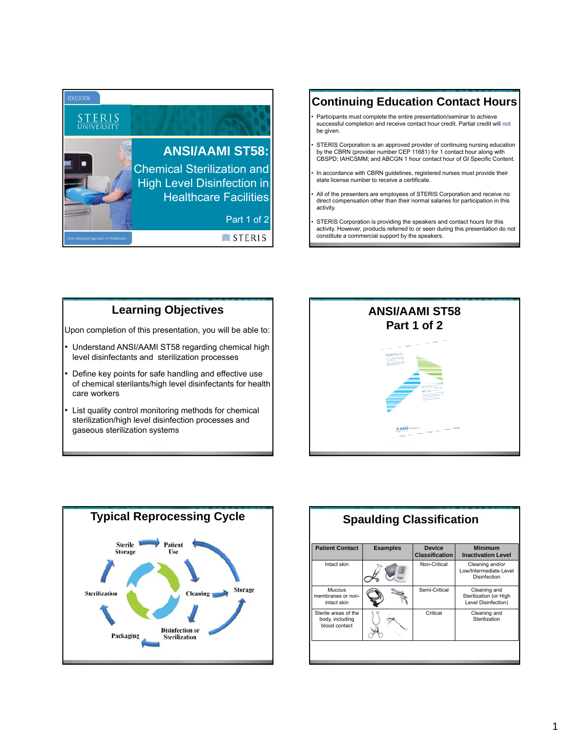

# **Continuing Education Contact Hours**

- Participants must complete the entire presentation/seminar to achieve successful completion and receive contact hour credit. Partial credit will not be given.
- STERIS Corporation is an approved provider of continuing nursing education by the CBRN (provider number CEP 11681) for 1 contact hour along with CBSPD; IAHCSMM; and ABCGN 1 hour contact hour of GI Specific Content.
- In accordance with CBRN guidelines, registered nurses must provide their state license number to receive a certificate.
- All of the presenters are employees of STERIS Corporation and receive no direct compensation other than their normal salaries for participation in this activity.
- STERIS Corporation is providing the speakers and contact hours for this activity. However, products referred to or seen during this presentation do not constitute a commercial support by the speakers.

#### **Learning Objectives**

Upon completion of this presentation, you will be able to:

- Understand ANSI/AAMI ST58 regarding chemical high level disinfectants and sterilization processes
- Define key points for safe handling and effective use of chemical sterilants/high level disinfectants for health care workers
- List quality control monitoring methods for chemical sterilization/high level disinfection processes and gaseous sterilization systems





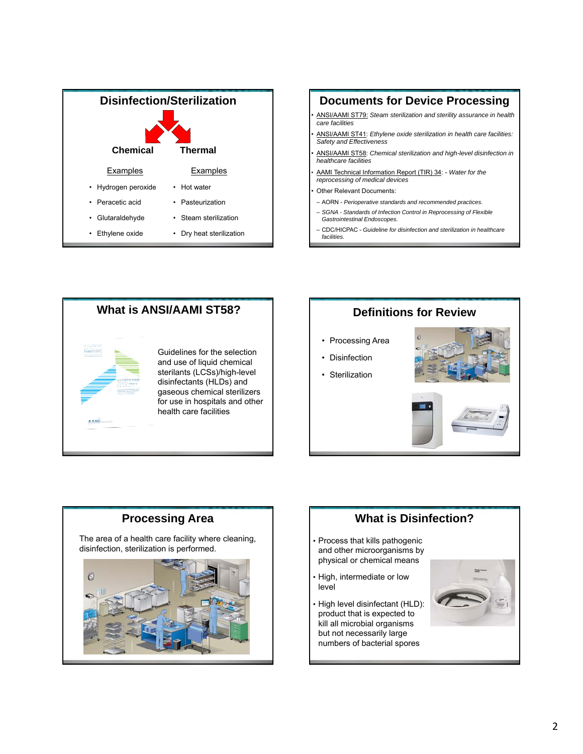



*facilities.*



# **Definitions for Review**

- Processing Area
- Disinfection
- Sterilization







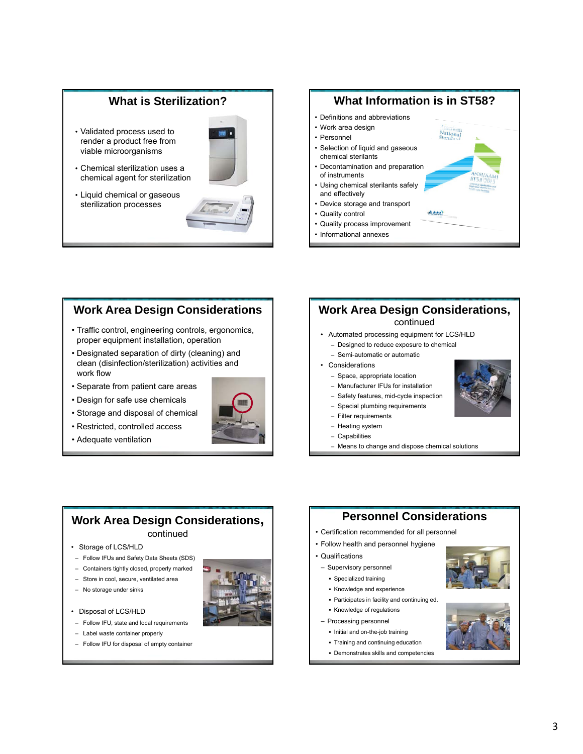#### **What is Sterilization?**

- Validated process used to render a product free from viable microorganisms
- Chemical sterilization uses a chemical agent for sterilization
- Liquid chemical or gaseous sterilization processes





#### **Work Area Design Considerations**

- Traffic control, engineering controls, ergonomics, proper equipment installation, operation
- Designated separation of dirty (cleaning) and clean (disinfection/sterilization) activities and work flow
- Separate from patient care areas
- Design for safe use chemicals
- Storage and disposal of chemical
- Restricted, controlled access
- Adequate ventilation



#### **Work Area Design Considerations,** continued

- Automated processing equipment for LCS/HLD
- Designed to reduce exposure to chemical
- Semi-automatic or automatic
- Considerations
	- Space, appropriate location
	- Manufacturer IFUs for installation
	- Safety features, mid-cycle inspection
	- Special plumbing requirements
	- Filter requirements
	- Heating system
	- Capabilities
	- Means to change and dispose chemical solutions

#### **Work Area Design Considerations,** continued

#### • Storage of LCS/HLD

- ‒ Follow IFUs and Safety Data Sheets (SDS)
- ‒ Containers tightly closed, properly marked
- ‒ Store in cool, secure, ventilated area

- Follow IFU, state and local requirements - Label waste container properly - Follow IFU for disposal of empty container

- No storage under sinks

• Disposal of LCS/HLD



• Certification recommended for all personnel

**Personnel Considerations**

• Follow health and personnel hygiene

#### • Qualifications

- ‒ Supervisory personnel
- Specialized training
- Knowledge and experience
- Participates in facility and continuing ed.
- Knowledge of regulations
- ‒ Processing personnel
	- Initial and on-the-job training
	- Training and continuing education
	- Demonstrates skills and competencies



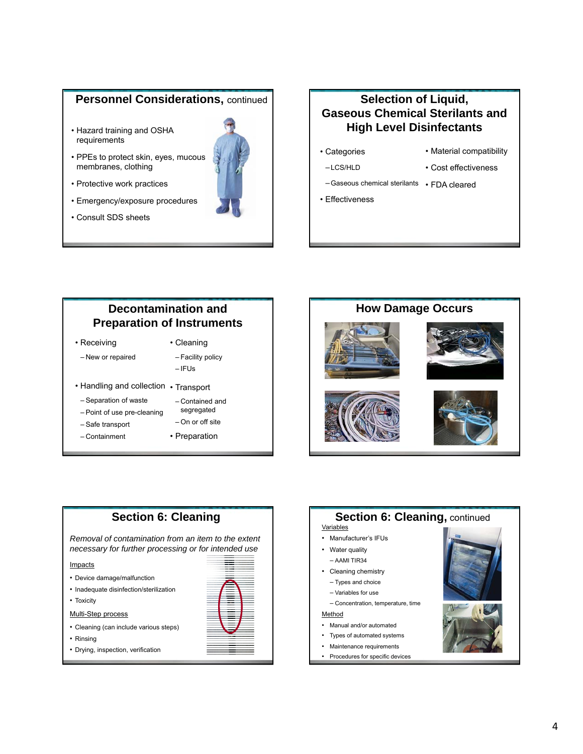#### **Personnel Considerations, continued**

- Hazard training and OSHA requirements
- PPEs to protect skin, eyes, mucous membranes, clothing
- Protective work practices
- Emergency/exposure procedures
- Consult SDS sheets

## **Selection of Liquid, Gaseous Chemical Sterilants and High Level Disinfectants**

- Categories –LCS/HLD
- Material compatibility • Cost effectiveness
- –Gaseous chemical sterilants FDA cleared
- Effectiveness

# **Decontamination and Preparation of Instruments**

- Receiving - New or repaired
- Cleaning - Facility policy
- $-IFUs$
- Handling and collection Transport
- ‒ Separation of waste
- ‒ Point of use pre-cleaning
- ‒ Safe transport
- ‒ Containment
- ‒ Contained and segregated
- ‒ On or off site • Preparation
- 





- 
- Inadequate disinfection/sterilization
- Toxicity

**Impacts** 

- Multi-Step process
- Cleaning (can include various steps)
- Rinsing
- Drying, inspection, verification



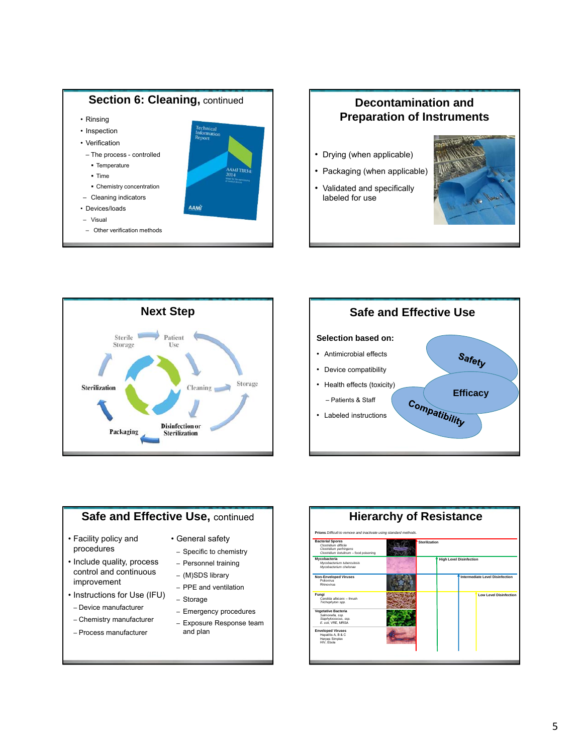

# **Preparation of Instruments**

- Drying (when applicable)
- Packaging (when applicable)
- Validated and specifically labeled for use









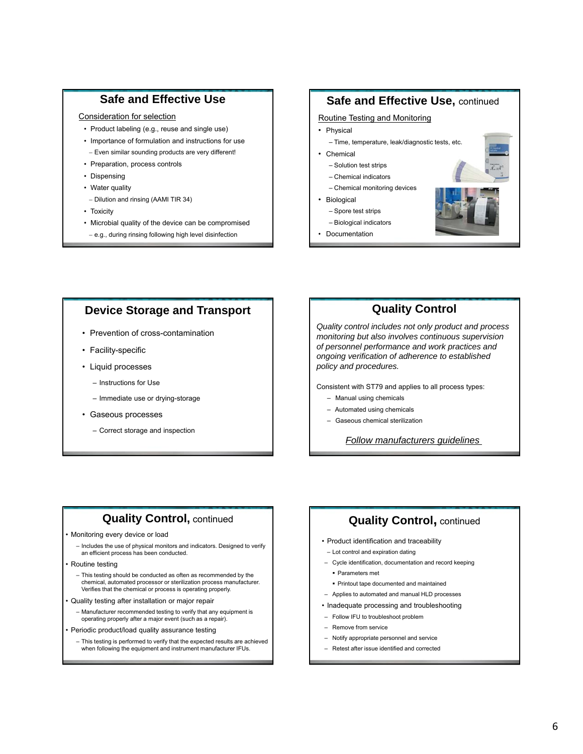#### **Safe and Effective Use**

#### Consideration for selection

- Product labeling (e.g., reuse and single use)
- Importance of formulation and instructions for use
- Even similar sounding products are very different! • Preparation, process controls
- Dispensing
- Water quality
- Dilution and rinsing (AAMI TIR 34)
- Toxicity
- Microbial quality of the device can be compromised
- e.g., during rinsing following high level disinfection

#### **Safe and Effective Use,** continued

#### Routine Testing and Monitoring

- **Physical**
- Time, temperature, leak/diagnostic tests, etc.
- Chemical
	- Solution test strips
	- Chemical indicators
- Chemical monitoring devices
- Biological
- Spore test strips
- Biological indicators
- Documentation



#### **Device Storage and Transport**

- Prevention of cross-contamination
- Facility-specific
- Liquid processes
	- Instructions for Use
	- Immediate use or drying-storage
- Gaseous processes
	- Correct storage and inspection

### **Quality Control**

*Quality control includes not only product and process monitoring but also involves continuous supervision of personnel performance and work practices and ongoing verification of adherence to established policy and procedures.*

Consistent with ST79 and applies to all process types:

- Manual using chemicals
- Automated using chemicals
- Gaseous chemical sterilization

*Follow manufacturers guidelines* 

#### **Quality Control, continued**

- Monitoring every device or load
	- Includes the use of physical monitors and indicators. Designed to verify an efficient process has been conducted.
- Routine testing
	- This testing should be conducted as often as recommended by the chemical, automated processor or sterilization process manufacturer. Verifies that the chemical or process is operating properly.
- Quality testing after installation or major repair
	- Manufacturer recommended testing to verify that any equipment is operating properly after a major event (such as a repair).
- Periodic product/load quality assurance testing
	- This testing is performed to verify that the expected results are achieved when following the equipment and instrument manufacturer IFUs.

#### **Quality Control, continued**

- Product identification and traceability
- Lot control and expiration dating
- ‒ Cycle identification, documentation and record keeping
- Parameters met
- Printout tape documented and maintained
- ‒ Applies to automated and manual HLD processes
- Inadequate processing and troubleshooting
- ‒ Follow IFU to troubleshoot problem
- ‒ Remove from service
- ‒ Notify appropriate personnel and service
- ‒ Retest after issue identified and corrected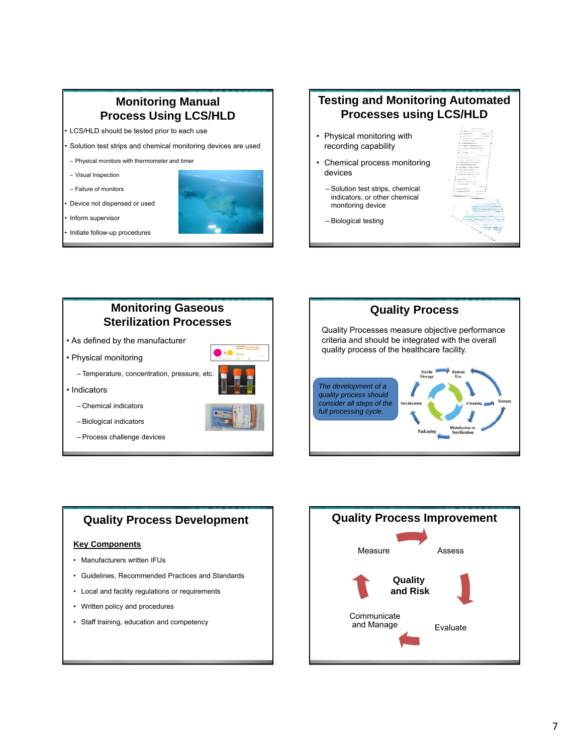## **Monitoring Manual Process Using LCS/HLD**

• LCS/HLD should be tested prior to each use

• Solution test strips and chemical monitoring devices are used

- ‒ Physical monitors with thermometer and timer
- ‒ Visual Inspection
- ‒ Failure of monitors

• Device not dispensed or used

• Initiate follow-up procedures



# **Testing and Monitoring Automated Processes using LCS/HLD**  • Physical monitoring with

• Chemical process monitoring devices

recording capability

- Solution test strips, chemical indicators, or other chemical monitoring device
- Biological testing



# **Monitoring Gaseous Sterilization Processes**

- As defined by the manufacturer
- Physical monitoring

– Temperature, concentration, pressure, etc.



- Indicators
	- Chemical indicators
	- Biological indicators
	- Process challenge devices





## **Quality Process Development**

#### **Key Components**

- Manufacturers written IFUs
- Guidelines, Recommended Practices and Standards
- Local and facility regulations or requirements
- Written policy and procedures
- Staff training, education and competency

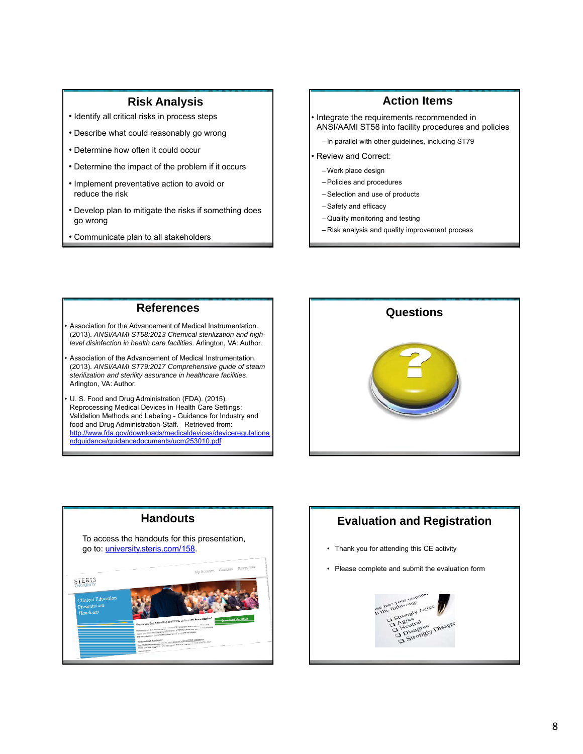#### **Risk Analysis**

- Identify all critical risks in process steps
- Describe what could reasonably go wrong
- Determine how often it could occur
- Determine the impact of the problem if it occurs
- Implement preventative action to avoid or reduce the risk
- Develop plan to mitigate the risks if something does go wrong
- Communicate plan to all stakeholders

#### **Action Items**

• Integrate the requirements recommended in ANSI/AAMI ST58 into facility procedures and policies

- In parallel with other guidelines, including ST79

• Review and Correct:

- ‒ Work place design
- ‒ Policies and procedures
- ‒ Selection and use of products
- Safety and efficacy
- ‒ Quality monitoring and testing
- ‒ Risk analysis and quality improvement process

#### **References**

Association for the Advancement of Medical Instrumentation. (2013). *ANSI/AAMI ST58:2013 Chemical sterilization and highlevel disinfection in health care facilities.* Arlington, VA: Author.

Association of the Advancement of Medical Instrumentation. (2013). *ANSI/AAMI ST79:2017 Comprehensive guide of steam sterilization and sterility assurance in healthcare facilities*. Arlington, VA: Author.

U. S. Food and Drug Administration (FDA). (2015). Reprocessing Medical Devices in Health Care Settings: Validation Methods and Labeling - Guidance for Industry and food and Drug Administration Staff. Retrieved from: http://www.fda.gov/downloads/medicaldevices/deviceregulationa ndguidance/guidancedocuments/ucm253010.pdf